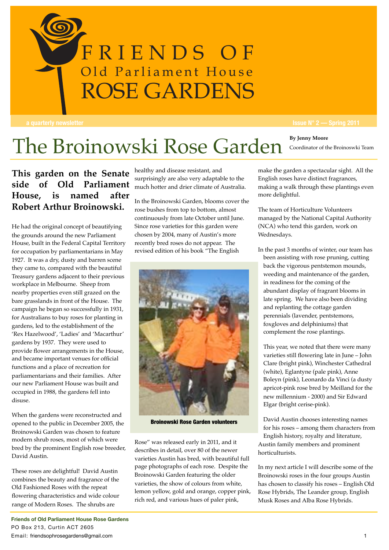

### The Broinowski Rose Garden **By Jenny Moore** Coordinator of the Broinoswki Team

**This garden on the Senate side of Old Parliament** much hotter and drier climate of Australia. **House, is named after Robert Arthur Broinowski.**

He had the original concept of beautifying the grounds around the new Parliament House, built in the Federal Capital Territory for occupation by parliamentarians in May 1927. It was a dry, dusty and barren scene they came to, compared with the beautiful Treasury gardens adjacent to their previous workplace in Melbourne. Sheep from nearby properties even still grazed on the bare grasslands in front of the House. The campaign he began so successfully in 1931, for Australians to buy roses for planting in gardens, led to the establishment of the 'Rex Hazelwood', 'Ladies' and 'Macarthur' gardens by 1937. They were used to provide flower arrangements in the House, and became important venues for official functions and a place of recreation for parliamentarians and their families. After our new Parliament House was built and occupied in 1988, the gardens fell into disuse.

When the gardens were reconstructed and opened to the public in December 2005, the Broinowski Garden was chosen to feature modern shrub roses, most of which were bred by the prominent English rose breeder, David Austin.

These roses are delightful! David Austin combines the beauty and fragrance of the Old Fashioned Roses with the repeat flowering characteristics and wide colour range of Modern Roses. The shrubs are

healthy and disease resistant, and surprisingly are also very adaptable to the

In the Broinowski Garden, blooms cover the rose bushes from top to bottom, almost continuously from late October until June. Since rose varieties for this garden were rliament chosen by 2004, many of Austin's more We<br>
ital Territory recently bred roses do not annear. The recently bred roses do not appear. The **Example 18 The Strongwork Sandel Strongwork Strongwork Strongwork Sandel Strongwork Strongwork Since professor Since row Parliament** Chosen by 2004, many of the new Parliament



Broinowski Rose Garden volunteers

Rose" was released early in 2011, and it describes in detail, over 80 of the newer varieties Austin has bred, with beautiful full page photographs of each rose. Despite the Broinowski Garden featuring the older varieties, the show of colours from white, lemon yellow, gold and orange, copper pink, rich red, and various hues of paler pink,

make the garden a spectacular sight. All the English roses have distinct fragrances, making a walk through these plantings even more delightful.

The team of Horticulture Volunteers managed by the National Capital Authority (NCA) who tend this garden, work on Wednesdays.

In the past 3 months of winter, our team has been assisting with rose pruning, cutting back the vigorous pentstemon mounds, weeding and maintenance of the garden, in readiness for the coming of the abundant display of fragrant blooms in late spring. We have also been dividing and replanting the cottage garden perennials (lavender, pentstemons, foxgloves and delphiniums) that complement the rose plantings.

This year, we noted that there were many varieties still flowering late in June – John Clare (bright pink), Winchester Cathedral (white), Eglantyne (pale pink), Anne Boleyn (pink), Leonardo da Vinci (a dusty apricot-pink rose bred by Meilland for the new millennium - 2000) and Sir Edward Elgar (bright cerise-pink).

David Austin chooses interesting names for his roses – among them characters from English history, royalty and literature, Austin family members and prominent horticulturists.

In my next article I will describe some of the Broinowski roses in the four groups Austin has chosen to classify his roses – English Old Rose Hybrids, The Leander group, English Musk Roses and Alba Rose Hybrids.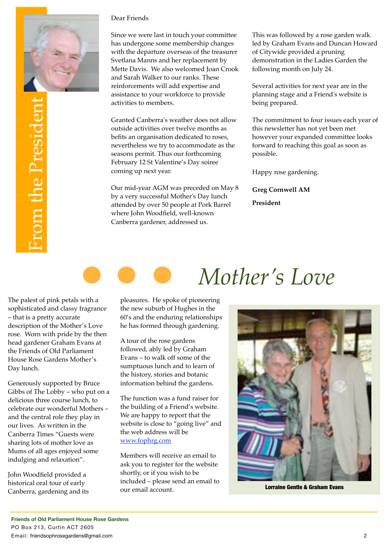

#### Dear Friends

Since we were last in touch your committee has undergone some membership changes with the departure overseas of the treasurer Svetlana Manns and her replacement by Mette Davis. We also welcomed Joan Crook and Sarah Walker to our ranks. These reinforcements will add expertise and assistance to your workforce to provide activities to members.

Granted Canberra's weather does not allow outside activities over twelve months as befits an organisation dedicated to roses, nevertheless we try to accommodate as the seasons permit. Thus our forthcoming February 12 St Valentine's Day soiree coming up next year.

Our mid-year AGM was preceded on May 8 by a very successful Mother's Day lunch attended by over 50 people at Pork Barrel where John Woodfield, well-known Canberra gardener, addressed us.

This was followed by a rose garden walk led by Graham Evans and Duncan Howard of Citywide provided a pruning demonstration in the Ladies Garden the following month on July 24.

Several activities for next year are in the planning stage and a Friend's website is being prepared.

The commitment to four issues each year of this newsletter has not yet been met however your expanded committee looks forward to reaching this goal as soon as possible.

Happy rose gardening.

**Greg Cornwell AM President**

The palest of pink petals with a sophisticated and classy fragrance – that is a pretty accurate description of the Mother's Love rose. Worn with pride by the then head gardener Graham Evans at the Friends of Old Parliament House Rose Gardens Mother's Day lunch.

Generously supported by Bruce Gibbs of The Lobby – who put on a delicious three course lunch, to celebrate our wonderful Mothers – and the central role they play in our lives. As written in the Canberra Times "Guests were sharing lots of mother love as Mums of all ages enjoyed some indulging and relaxation".

John Woodfield provided a historical oral tour of early Canberra, gardening and its

pleasures. He spoke of pioneering the new suburb of Hughes in the 60's and the enduring relationships he has formed through gardening.

A tour of the rose gardens followed, ably led by Graham Evans – to walk off some of the sumptuous lunch and to learn of the history, stories and botanic information behind the gardens.

The function was a fund raiser for the building of a Friend's website. We are happy to report that the website is close to "going live" and the web address will be [www.fophrg.com](http://www.friendsophrosegardens.com.au)

Members will receive an email to ask you to register for the website shortly, or if you wish to be included – please send an email to our email account. Lorraine Gentle & Graham Evans

# *Mother's Love*

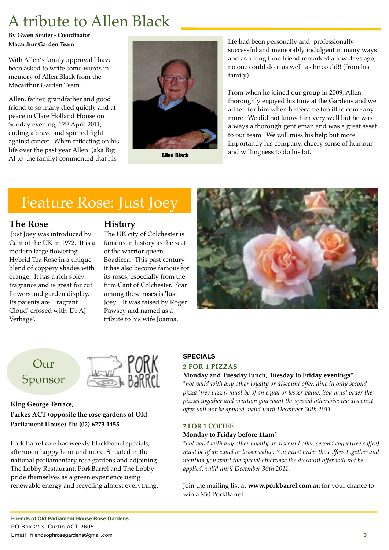## A tribute to Allen Black

**By Gwen Souter - Coordinator Macarthur Garden Team**

With Allen's family approval I have been asked to write some words in memory of Allen Black from the Macarthur Garden Team.

Allen, father, grandfather and good friend to so many died quietly and at peace in Clare Holland House on Sunday evening, 17<sup>th</sup> April 2011, ending a brave and spirited fight against cancer. When reflecting on his life over the past year Allen (aka Big Al to the family) commented that his



life had been personally and professionally successful and memorably indulgent in many ways and as a long time friend remarked a few days ago; no one could do it as well as he could!! (from his family).

From when he joined our group in 2009, Allen thoroughly enjoyed his time at the Gardens and we all felt for him when he became too ill to come any more We did not know him very well but he was always a thorough gentleman and was a great asset to our team We will miss his help but more importantly his company, cheery sense of humour **Allen Black** and willingness to do his bit.

### Feature Rose: Just Joey

#### **The Rose**

 Just Joey was introduced by Cant of the UK in 1972. It is a modern large flowering Hybrid Tea Rose in a unique blend of coppery shades with orange. It has a rich spicy fragrance and is great for cut flowers and garden display. Its parents are 'Fragrant Cloud' crossed with 'Dr AJ Verhage'.

#### **History**

The UK city of Colchester is famous in history as the seat of the warrior queen Boadicea. This past century it has also become famous for its roses, especially from the firm Cant of Colchester. Star among these roses is 'Just Joey'. It was raised by Roger Pawsey and named as a tribute to his wife Joanna.



### Our Sponsor



**King George Terrace, Parkes ACT (opposite the rose gardens of Old Parliament House) Ph: (02) 6273 1455**

Pork Barrel cafe has weekly blackboard specials, afternoon happy hour and more. Situated in the national parliamentary rose gardens and adjoining The Lobby Restaurant. PorkBarrel and The Lobby pride themselves as a green experience using renewable energy and recycling almost everything.

#### **SPECIALS**

#### **2 FOR 1 PIZZAS**

#### **Monday and Tuesday lunch, Tuesday to Friday evenings\***

*\*not valid with any other loyalty or discount offer, dine in only second pizza (free pizza) must be of an equal or lesser value. You must order the pizzas together and mention you want the special otherwise the discount offer will not be applied, valid until December 30th 2011.*

#### **2 FOR 1 COFFEE**

#### **Monday to Friday before 11am\***

*\*not valid with any other loyalty or discount offer, second coffee(free coffee) must be of an equal or lesser value. You must order the coffees together and mention you want the special otherwise the discount offer will not be applied, valid until December 30th 2011.*

Join the mailing list at **[www.porkbarrel.com.au](http://www.porkbarrel.com.au)** for your chance to win a \$50 PorkBarrel.